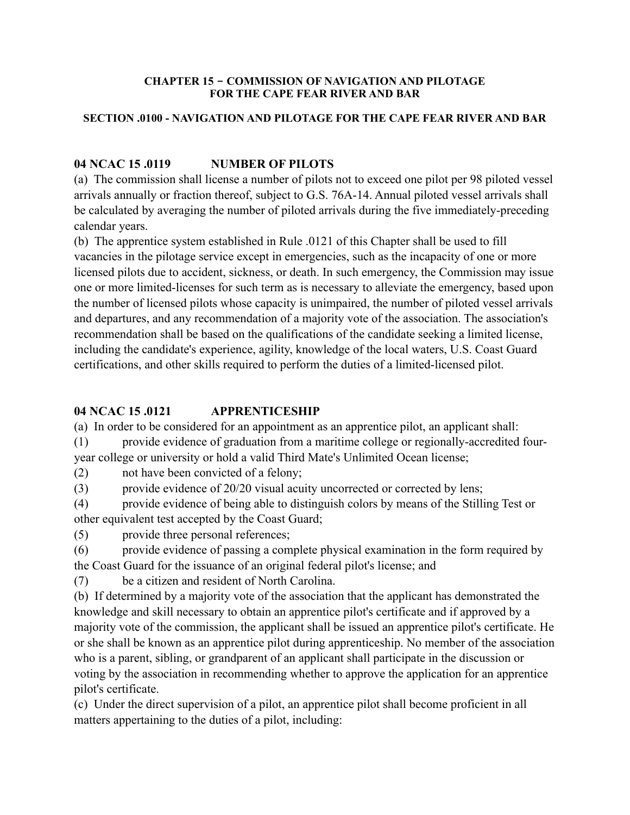#### **CHAPTER 15 - COMMISSION OF NAVIGATION AND PILOTAGE FOR THE CAPE FEAR RIVER AND BAR**

## **SECTION .0100 - NAVIGATION AND PILOTAGE FOR THE CAPE FEAR RIVER AND BAR**

# **04 NCAC 15 .0119 NUMBER OF PILOTS**

(a) The commission shall license a number of pilots not to exceed one pilot per 98 piloted vessel arrivals annually or fraction thereof, subject to G.S. 76A-14. Annual piloted vessel arrivals shall be calculated by averaging the number of piloted arrivals during the five immediately-preceding calendar years.

(b) The apprentice system established in Rule .0121 of this Chapter shall be used to fill vacancies in the pilotage service except in emergencies, such as the incapacity of one or more licensed pilots due to accident, sickness, or death. In such emergency, the Commission may issue one or more limited-licenses for such term as is necessary to alleviate the emergency, based upon the number of licensed pilots whose capacity is unimpaired, the number of piloted vessel arrivals and departures, and any recommendation of a majority vote of the association. The association's recommendation shall be based on the qualifications of the candidate seeking a limited license, including the candidate's experience, agility, knowledge of the local waters, U.S. Coast Guard certifications, and other skills required to perform the duties of a limited-licensed pilot.

# **04 NCAC 15 .0121 APPRENTICESHIP**

(a) In order to be considered for an appointment as an apprentice pilot, an applicant shall:

(1) provide evidence of graduation from a maritime college or regionally-accredited fouryear college or university or hold a valid Third Mate's Unlimited Ocean license;

(2) not have been convicted of a felony;

(3) provide evidence of 20/20 visual acuity uncorrected or corrected by lens;

(4) provide evidence of being able to distinguish colors by means of the Stilling Test or other equivalent test accepted by the Coast Guard;

(5) provide three personal references;

(6) provide evidence of passing a complete physical examination in the form required by the Coast Guard for the issuance of an original federal pilot's license; and

(7) be a citizen and resident of North Carolina.

(b) If determined by a majority vote of the association that the applicant has demonstrated the knowledge and skill necessary to obtain an apprentice pilot's certificate and if approved by a majority vote of the commission, the applicant shall be issued an apprentice pilot's certificate. He or she shall be known as an apprentice pilot during apprenticeship. No member of the association who is a parent, sibling, or grandparent of an applicant shall participate in the discussion or voting by the association in recommending whether to approve the application for an apprentice pilot's certificate.

(c) Under the direct supervision of a pilot, an apprentice pilot shall become proficient in all matters appertaining to the duties of a pilot, including: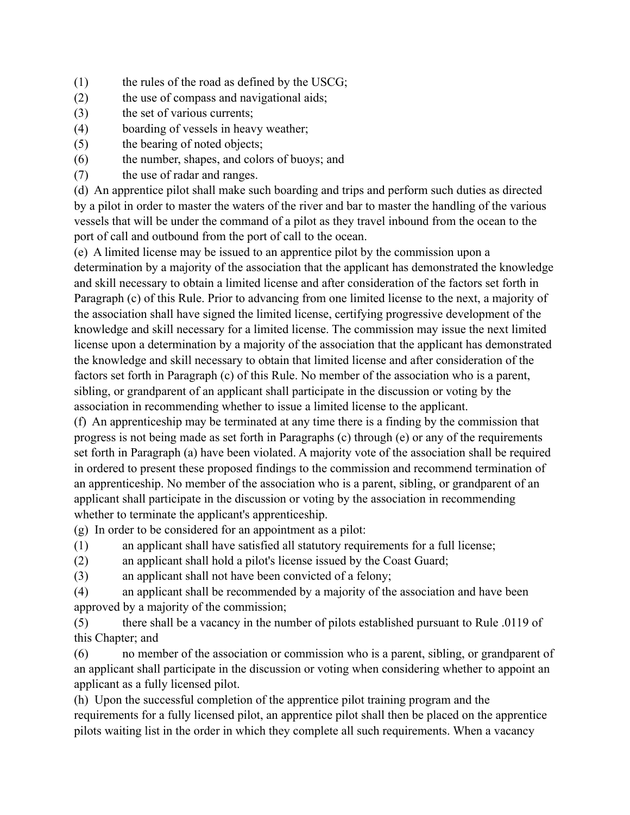- (1) the rules of the road as defined by the USCG;
- (2) the use of compass and navigational aids;
- (3) the set of various currents;
- (4) boarding of vessels in heavy weather;
- (5) the bearing of noted objects;
- (6) the number, shapes, and colors of buoys; and
- (7) the use of radar and ranges.

(d) An apprentice pilot shall make such boarding and trips and perform such duties as directed by a pilot in order to master the waters of the river and bar to master the handling of the various vessels that will be under the command of a pilot as they travel inbound from the ocean to the port of call and outbound from the port of call to the ocean.

(e) A limited license may be issued to an apprentice pilot by the commission upon a determination by a majority of the association that the applicant has demonstrated the knowledge and skill necessary to obtain a limited license and after consideration of the factors set forth in Paragraph (c) of this Rule. Prior to advancing from one limited license to the next, a majority of the association shall have signed the limited license, certifying progressive development of the knowledge and skill necessary for a limited license. The commission may issue the next limited license upon a determination by a majority of the association that the applicant has demonstrated the knowledge and skill necessary to obtain that limited license and after consideration of the factors set forth in Paragraph (c) of this Rule. No member of the association who is a parent, sibling, or grandparent of an applicant shall participate in the discussion or voting by the association in recommending whether to issue a limited license to the applicant.

(f) An apprenticeship may be terminated at any time there is a finding by the commission that progress is not being made as set forth in Paragraphs (c) through (e) or any of the requirements set forth in Paragraph (a) have been violated. A majority vote of the association shall be required in ordered to present these proposed findings to the commission and recommend termination of an apprenticeship. No member of the association who is a parent, sibling, or grandparent of an applicant shall participate in the discussion or voting by the association in recommending whether to terminate the applicant's apprenticeship.

(g) In order to be considered for an appointment as a pilot:

(1) an applicant shall have satisfied all statutory requirements for a full license;

- (2) an applicant shall hold a pilot's license issued by the Coast Guard;
- (3) an applicant shall not have been convicted of a felony;

(4) an applicant shall be recommended by a majority of the association and have been approved by a majority of the commission;

(5) there shall be a vacancy in the number of pilots established pursuant to Rule .0119 of this Chapter; and

(6) no member of the association or commission who is a parent, sibling, or grandparent of an applicant shall participate in the discussion or voting when considering whether to appoint an applicant as a fully licensed pilot.

(h) Upon the successful completion of the apprentice pilot training program and the requirements for a fully licensed pilot, an apprentice pilot shall then be placed on the apprentice pilots waiting list in the order in which they complete all such requirements. When a vacancy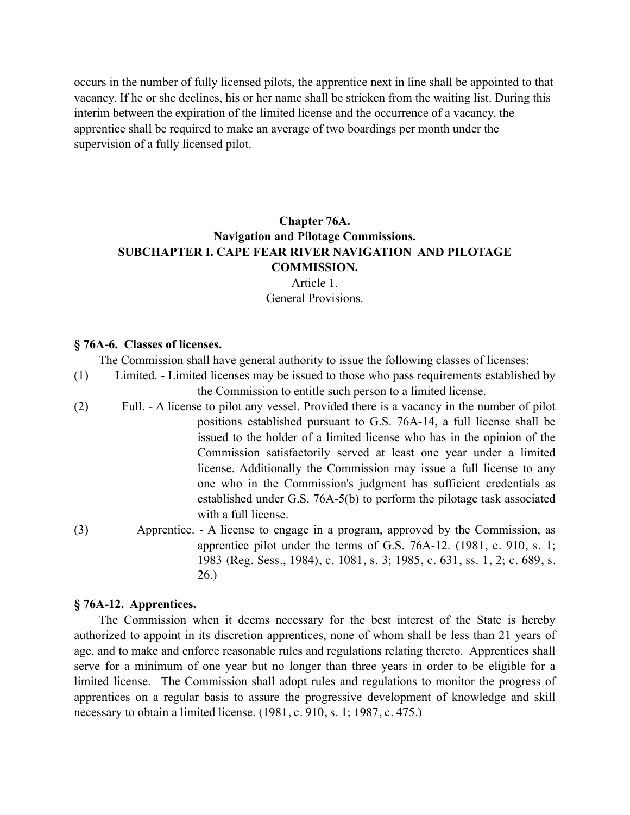occurs in the number of fully licensed pilots, the apprentice next in line shall be appointed to that vacancy. If he or she declines, his or her name shall be stricken from the waiting list. During this interim between the expiration of the limited license and the occurrence of a vacancy, the apprentice shall be required to make an average of two boardings per month under the supervision of a fully licensed pilot.

# **Chapter 76A. Navigation and Pilotage Commissions. SUBCHAPTER I. CAPE FEAR RIVER NAVIGATION AND PILOTAGE COMMISSION.**

Article 1. General Provisions.

#### **§ 76A-6. Classes of licenses.**

The Commission shall have general authority to issue the following classes of licenses:

- (1) Limited. Limited licenses may be issued to those who pass requirements established by the Commission to entitle such person to a limited license.
- (2) Full. A license to pilot any vessel. Provided there is a vacancy in the number of pilot positions established pursuant to G.S. 76A-14, a full license shall be issued to the holder of a limited license who has in the opinion of the Commission satisfactorily served at least one year under a limited license. Additionally the Commission may issue a full license to any one who in the Commission's judgment has sufficient credentials as established under G.S. 76A-5(b) to perform the pilotage task associated with a full license.
- (3) Apprentice. A license to engage in a program, approved by the Commission, as apprentice pilot under the terms of G.S. 76A-12. (1981, c. 910, s. 1; 1983 (Reg. Sess., 1984), c. 1081, s. 3; 1985, c. 631, ss. 1, 2; c. 689, s. 26.)

#### **§ 76A-12. Apprentices.**

The Commission when it deems necessary for the best interest of the State is hereby authorized to appoint in its discretion apprentices, none of whom shall be less than 21 years of age, and to make and enforce reasonable rules and regulations relating thereto. Apprentices shall serve for a minimum of one year but no longer than three years in order to be eligible for a limited license. The Commission shall adopt rules and regulations to monitor the progress of apprentices on a regular basis to assure the progressive development of knowledge and skill necessary to obtain a limited license. (1981, c. 910, s. 1; 1987, c. 475.)